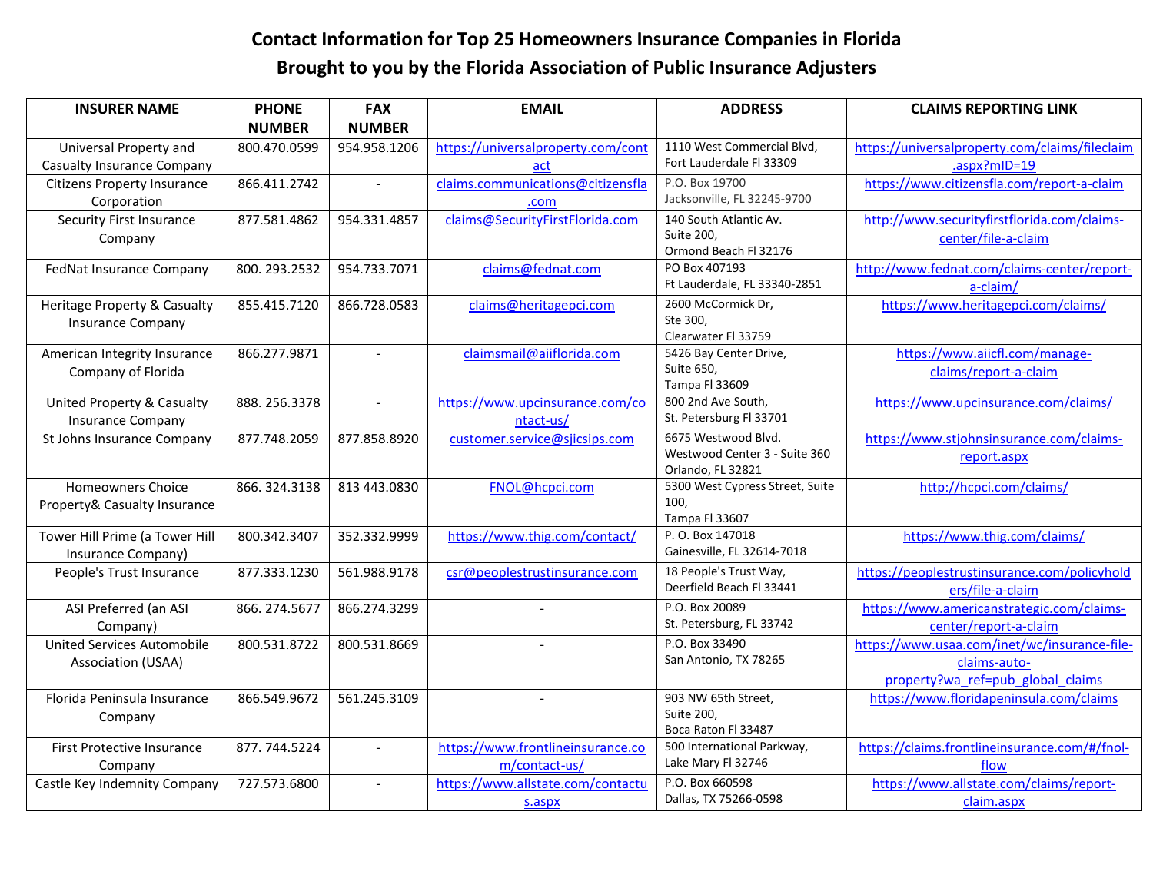## **Contact Information for Top 25 Homeowners Insurance Companies in Florida Brought to you by the Florida Association of Public Insurance Adjusters**

| <b>INSURER NAME</b>                                | <b>PHONE</b>  | <b>FAX</b>     | <b>EMAIL</b>                       | <b>ADDRESS</b>                                       | <b>CLAIMS REPORTING LINK</b>                                                 |
|----------------------------------------------------|---------------|----------------|------------------------------------|------------------------------------------------------|------------------------------------------------------------------------------|
|                                                    | <b>NUMBER</b> | <b>NUMBER</b>  |                                    |                                                      |                                                                              |
| Universal Property and                             | 800.470.0599  | 954.958.1206   | https://universalproperty.com/cont | 1110 West Commercial Blvd,                           | https://universalproperty.com/claims/fileclaim                               |
| <b>Casualty Insurance Company</b>                  |               |                | act                                | Fort Lauderdale FI 33309                             | .aspx?mID=19                                                                 |
| <b>Citizens Property Insurance</b>                 | 866.411.2742  |                | claims.communications@citizensfla  | P.O. Box 19700                                       | https://www.citizensfla.com/report-a-claim                                   |
| Corporation                                        |               |                | .com                               | Jacksonville, FL 32245-9700                          |                                                                              |
| Security First Insurance                           | 877.581.4862  | 954.331.4857   | claims@SecurityFirstFlorida.com    | 140 South Atlantic Av.                               | http://www.securityfirstflorida.com/claims-                                  |
| Company                                            |               |                |                                    | Suite 200,<br>Ormond Beach Fl 32176                  | center/file-a-claim                                                          |
| FedNat Insurance Company                           | 800.293.2532  | 954.733.7071   | claims@fednat.com                  | PO Box 407193                                        | http://www.fednat.com/claims-center/report-                                  |
|                                                    |               |                |                                    | Ft Lauderdale, FL 33340-2851                         | a-claim/                                                                     |
| Heritage Property & Casualty                       | 855.415.7120  | 866.728.0583   | claims@heritagepci.com             | 2600 McCormick Dr,                                   | https://www.heritagepci.com/claims/                                          |
| <b>Insurance Company</b>                           |               |                |                                    | Ste 300,                                             |                                                                              |
|                                                    |               | $\mathbf{r}$   |                                    | Clearwater FI 33759                                  | https://www.aiicfl.com/manage-                                               |
| American Integrity Insurance<br>Company of Florida | 866.277.9871  |                | claimsmail@aiiflorida.com          | 5426 Bay Center Drive,<br>Suite 650,                 | claims/report-a-claim                                                        |
|                                                    |               |                |                                    | Tampa FI 33609                                       |                                                                              |
| United Property & Casualty                         | 888.256.3378  | $\overline{a}$ | https://www.upcinsurance.com/co    | 800 2nd Ave South,                                   | https://www.upcinsurance.com/claims/                                         |
| <b>Insurance Company</b>                           |               |                | ntact-us/                          | St. Petersburg FI 33701                              |                                                                              |
| St Johns Insurance Company                         | 877.748.2059  | 877.858.8920   | customer.service@sjicsips.com      | 6675 Westwood Blvd.                                  | https://www.stjohnsinsurance.com/claims-                                     |
|                                                    |               |                |                                    | Westwood Center 3 - Suite 360                        | report.aspx                                                                  |
| <b>Homeowners Choice</b>                           | 866.324.3138  | 813 443.0830   | FNOL@hcpci.com                     | Orlando, FL 32821<br>5300 West Cypress Street, Suite | http://hcpci.com/claims/                                                     |
| Property& Casualty Insurance                       |               |                |                                    | 100,                                                 |                                                                              |
|                                                    |               |                |                                    | Tampa Fl 33607                                       |                                                                              |
| Tower Hill Prime (a Tower Hill                     | 800.342.3407  | 352.332.9999   | https://www.thig.com/contact/      | P.O. Box 147018                                      | https://www.thig.com/claims/                                                 |
| Insurance Company)                                 |               |                |                                    | Gainesville, FL 32614-7018                           |                                                                              |
| People's Trust Insurance                           | 877.333.1230  | 561.988.9178   | csr@peoplestrustinsurance.com      | 18 People's Trust Way,                               | https://peoplestrustinsurance.com/policyhold                                 |
|                                                    |               |                |                                    | Deerfield Beach Fl 33441                             | ers/file-a-claim                                                             |
| ASI Preferred (an ASI                              | 866.274.5677  | 866.274.3299   |                                    | P.O. Box 20089                                       | https://www.americanstrategic.com/claims-                                    |
| Company)                                           |               |                |                                    | St. Petersburg, FL 33742                             | center/report-a-claim                                                        |
| <b>United Services Automobile</b>                  | 800.531.8722  | 800.531.8669   | $\blacksquare$                     | P.O. Box 33490<br>San Antonio, TX 78265              | https://www.usaa.com/inet/wc/insurance-file-                                 |
| Association (USAA)                                 |               |                |                                    |                                                      | claims-auto-                                                                 |
| Florida Peninsula Insurance                        | 866.549.9672  | 561.245.3109   |                                    | 903 NW 65th Street,                                  | property?wa ref=pub global claims<br>https://www.floridapeninsula.com/claims |
| Company                                            |               |                |                                    | Suite 200,                                           |                                                                              |
|                                                    |               |                |                                    | Boca Raton Fl 33487                                  |                                                                              |
| <b>First Protective Insurance</b>                  | 877.744.5224  | $\overline{a}$ | https://www.frontlineinsurance.co  | 500 International Parkway,                           | https://claims.frontlineinsurance.com/#/fnol-                                |
| Company                                            |               |                | m/contact-us/                      | Lake Mary Fl 32746                                   | flow                                                                         |
| Castle Key Indemnity Company                       | 727.573.6800  | $\overline{a}$ | https://www.allstate.com/contactu  | P.O. Box 660598                                      | https://www.allstate.com/claims/report-                                      |
|                                                    |               |                | s.aspx                             | Dallas, TX 75266-0598                                | claim.aspx                                                                   |